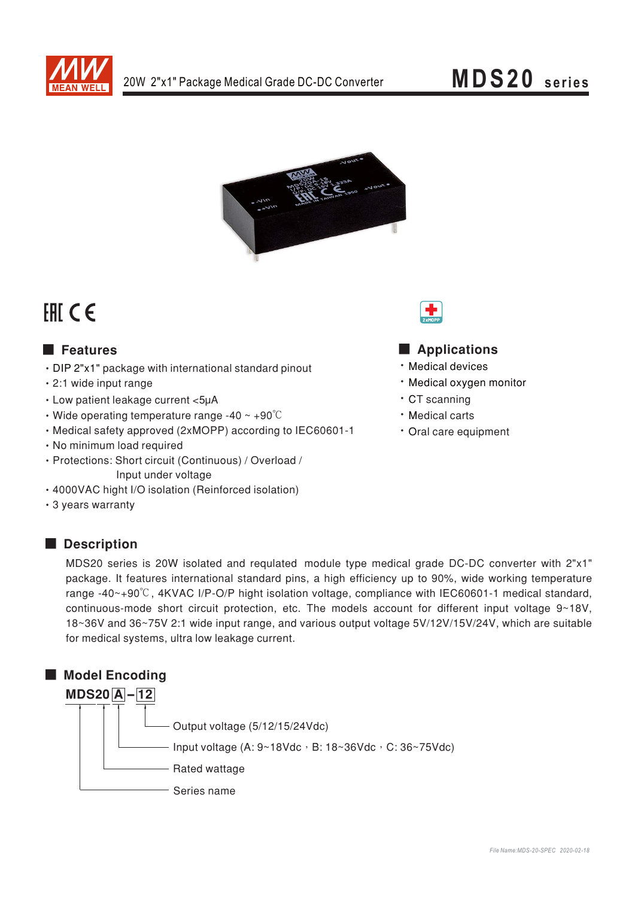

# MDS20 series



# FHI CE

# **E** Features

- DIP 2"x1" package with international standard pinout
- · 2:1 wide input range
- Low patient leakage current <5µA
- $\cdot$  Wide operating temperature range -40  $\sim$  +90 $\degree$ C
- Medical safety approved (2xMOPP) according to IEC60601-1
- · No minimum load required
- · Protections: Short circuit (Continuous) / Overload / Input under voltage
- · 4000VAC hight I/O isolation (Reinforced isolation)
- 3 years warranty

## Description

- Applications
- · Medical devices
- · Medical oxvgen monitor
- · CT scanning
- · Medical carts
- · Oral care equipment

MDS20 series is 20W isolated and requlated module type medical grade DC-DC converter with 2"x1" package. It features international standard pins, a high efficiency up to 90%, wide working temperature range -40~+90°C, 4KVAC I/P-O/P hight isolation voltage, compliance with IEC60601-1 medical standard, continuous-mode short circuit protection, etc. The models account for different input voltage 9~18V, 18~36V and 36~75V 2:1 wide input range, and various output voltage 5V/12V/15V/24V, which are suitable for medical systems, ultra low leakage current.

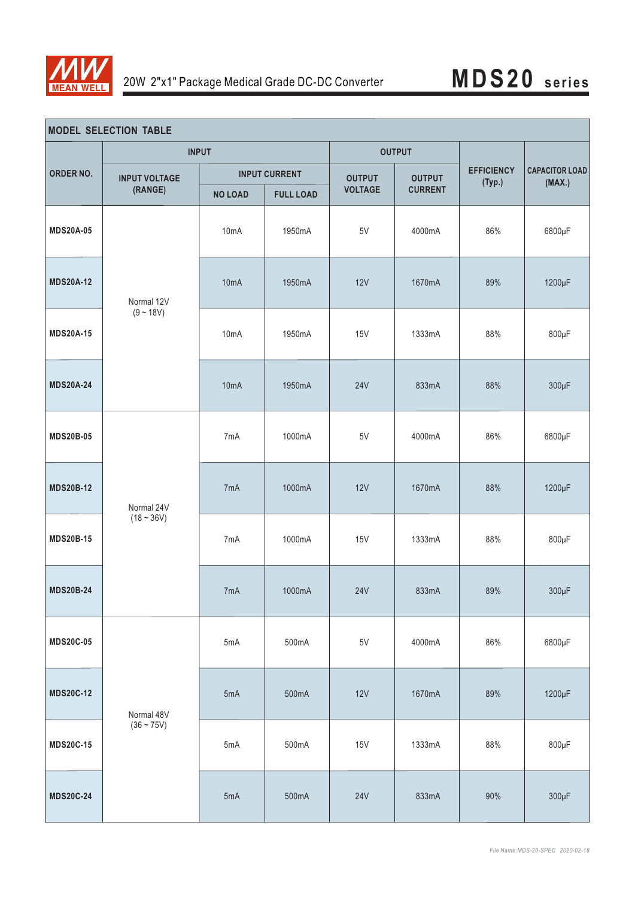

| <b>MODEL SELECTION TABLE</b> |                                 |                      |                  |                |                |                             |                                 |  |
|------------------------------|---------------------------------|----------------------|------------------|----------------|----------------|-----------------------------|---------------------------------|--|
|                              | <b>INPUT</b>                    |                      |                  | <b>OUTPUT</b>  |                |                             |                                 |  |
| ORDER NO.                    | <b>INPUT VOLTAGE</b><br>(RANGE) | <b>INPUT CURRENT</b> |                  | <b>OUTPUT</b>  | <b>OUTPUT</b>  | <b>EFFICIENCY</b><br>(Typ.) | <b>CAPACITOR LOAD</b><br>(MAX.) |  |
|                              |                                 | <b>NO LOAD</b>       | <b>FULL LOAD</b> | <b>VOLTAGE</b> | <b>CURRENT</b> |                             |                                 |  |
| <b>MDS20A-05</b>             | Normal 12V<br>$(9 - 18V)$       | 10mA                 | 1950mA           | 5V             | 4000mA         | 86%                         | 6800µF                          |  |
| <b>MDS20A-12</b>             |                                 | 10 <sub>m</sub> A    | 1950mA           | 12V            | 1670mA         | 89%                         | 1200µF                          |  |
| <b>MDS20A-15</b>             |                                 | 10mA                 | 1950mA           | 15V            | 1333mA         | 88%                         | $800\mu F$                      |  |
| <b>MDS20A-24</b>             |                                 | 10 <sub>m</sub> A    | 1950mA           | <b>24V</b>     | 833mA          | 88%                         | $300\mu F$                      |  |
| <b>MDS20B-05</b>             | Normal 24V<br>$(18 - 36V)$      | 7mA                  | 1000mA           | 5V             | 4000mA         | 86%                         | 6800µF                          |  |
| <b>MDS20B-12</b>             |                                 | 7mA                  | 1000mA           | 12V            | 1670mA         | 88%                         | 1200µF                          |  |
| <b>MDS20B-15</b>             |                                 | 7mA                  | 1000mA           | 15V            | 1333mA         | 88%                         | $800\mu F$                      |  |
| <b>MDS20B-24</b>             |                                 | 7 <sub>m</sub> A     | 1000mA           | <b>24V</b>     | 833mA          | 89%                         | $300\mu F$                      |  |
| <b>MDS20C-05</b>             |                                 | 5mA                  | 500mA            | $5\mathrm{V}$  | 4000mA         | 86%                         | 6800µF                          |  |
| <b>MDS20C-12</b>             | Normal 48V<br>$(36 - 75V)$      | 5mA                  | 500mA            | 12V            | 1670mA         | 89%                         | 1200µF                          |  |
| <b>MDS20C-15</b>             |                                 | 5mA                  | 500mA            | <b>15V</b>     | 1333mA         | 88%                         | $800\mu F$                      |  |
| <b>MDS20C-24</b>             |                                 | 5mA                  | 500mA            | <b>24V</b>     | 833mA          | 90%                         | $300\mu F$                      |  |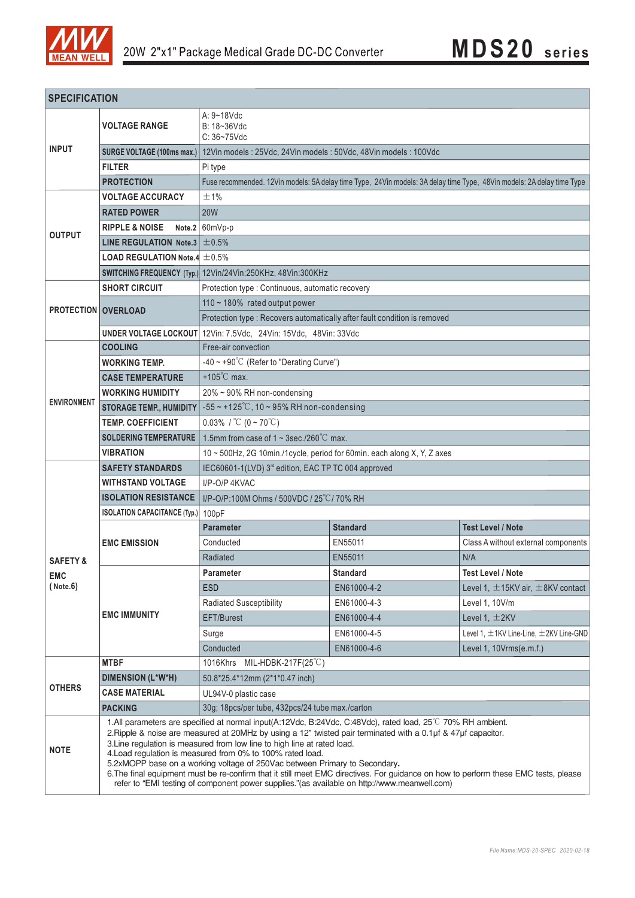

| <b>SPECIFICATION</b>                            |                                                            |                                                                                                                                                                                                                                                                                                                                                                                                                                                                                                                                                                                                                                                                                             |                 |                                                  |  |  |  |  |  |
|-------------------------------------------------|------------------------------------------------------------|---------------------------------------------------------------------------------------------------------------------------------------------------------------------------------------------------------------------------------------------------------------------------------------------------------------------------------------------------------------------------------------------------------------------------------------------------------------------------------------------------------------------------------------------------------------------------------------------------------------------------------------------------------------------------------------------|-----------------|--------------------------------------------------|--|--|--|--|--|
|                                                 | A: 9~18Vdc                                                 |                                                                                                                                                                                                                                                                                                                                                                                                                                                                                                                                                                                                                                                                                             |                 |                                                  |  |  |  |  |  |
|                                                 | <b>VOLTAGE RANGE</b>                                       | $B: 18 - 36$ Vdc<br>$C: 36 - 75$ Vdc                                                                                                                                                                                                                                                                                                                                                                                                                                                                                                                                                                                                                                                        |                 |                                                  |  |  |  |  |  |
| <b>INPUT</b>                                    | SURGE VOLTAGE (100ms max.)                                 | 12Vin models: 25Vdc, 24Vin models: 50Vdc, 48Vin models: 100Vdc                                                                                                                                                                                                                                                                                                                                                                                                                                                                                                                                                                                                                              |                 |                                                  |  |  |  |  |  |
|                                                 | <b>FILTER</b>                                              | Pi type                                                                                                                                                                                                                                                                                                                                                                                                                                                                                                                                                                                                                                                                                     |                 |                                                  |  |  |  |  |  |
|                                                 | <b>PROTECTION</b>                                          | Fuse recommended. 12Vin models: 5A delay time Type, 24Vin models: 3A delay time Type, 48Vin models: 2A delay time Type                                                                                                                                                                                                                                                                                                                                                                                                                                                                                                                                                                      |                 |                                                  |  |  |  |  |  |
| <b>OUTPUT</b>                                   | <b>VOLTAGE ACCURACY</b>                                    | ±1%                                                                                                                                                                                                                                                                                                                                                                                                                                                                                                                                                                                                                                                                                         |                 |                                                  |  |  |  |  |  |
|                                                 | <b>RATED POWER</b>                                         | <b>20W</b>                                                                                                                                                                                                                                                                                                                                                                                                                                                                                                                                                                                                                                                                                  |                 |                                                  |  |  |  |  |  |
|                                                 | <b>RIPPLE &amp; NOISE</b>                                  | Note.2 $60mVp-p$                                                                                                                                                                                                                                                                                                                                                                                                                                                                                                                                                                                                                                                                            |                 |                                                  |  |  |  |  |  |
|                                                 | LINE REGULATION Note.3                                     | ±0.5%                                                                                                                                                                                                                                                                                                                                                                                                                                                                                                                                                                                                                                                                                       |                 |                                                  |  |  |  |  |  |
|                                                 | <b>LOAD REGULATION Note.4 <math>\pm</math> 0.5%</b>        |                                                                                                                                                                                                                                                                                                                                                                                                                                                                                                                                                                                                                                                                                             |                 |                                                  |  |  |  |  |  |
|                                                 |                                                            | SWITCHING FREQUENCY (Typ.) 12Vin/24Vin:250KHz, 48Vin:300KHz                                                                                                                                                                                                                                                                                                                                                                                                                                                                                                                                                                                                                                 |                 |                                                  |  |  |  |  |  |
| <b>PROTECTION OVERLOAD</b>                      | <b>SHORT CIRCUIT</b>                                       | Protection type : Continuous, automatic recovery                                                                                                                                                                                                                                                                                                                                                                                                                                                                                                                                                                                                                                            |                 |                                                  |  |  |  |  |  |
|                                                 |                                                            | 110 ~ 180% rated output power                                                                                                                                                                                                                                                                                                                                                                                                                                                                                                                                                                                                                                                               |                 |                                                  |  |  |  |  |  |
|                                                 |                                                            | Protection type : Recovers automatically after fault condition is removed                                                                                                                                                                                                                                                                                                                                                                                                                                                                                                                                                                                                                   |                 |                                                  |  |  |  |  |  |
|                                                 | <b>UNDER VOLTAGE LOCKOUT</b>                               | 12Vin: 7.5Vdc, 24Vin: 15Vdc, 48Vin: 33Vdc                                                                                                                                                                                                                                                                                                                                                                                                                                                                                                                                                                                                                                                   |                 |                                                  |  |  |  |  |  |
|                                                 | <b>COOLING</b>                                             | Free-air convection                                                                                                                                                                                                                                                                                                                                                                                                                                                                                                                                                                                                                                                                         |                 |                                                  |  |  |  |  |  |
|                                                 | <b>WORKING TEMP.</b>                                       | $-40 \sim +90^{\circ}$ C (Refer to "Derating Curve")                                                                                                                                                                                                                                                                                                                                                                                                                                                                                                                                                                                                                                        |                 |                                                  |  |  |  |  |  |
|                                                 | <b>CASE TEMPERATURE</b>                                    | $+105^{\circ}$ C max.                                                                                                                                                                                                                                                                                                                                                                                                                                                                                                                                                                                                                                                                       |                 |                                                  |  |  |  |  |  |
| <b>ENVIRONMENT</b>                              | <b>WORKING HUMIDITY</b>                                    | 20% ~ 90% RH non-condensing                                                                                                                                                                                                                                                                                                                                                                                                                                                                                                                                                                                                                                                                 |                 |                                                  |  |  |  |  |  |
|                                                 | <b>STORAGE TEMP., HUMIDITY</b><br><b>TEMP. COEFFICIENT</b> | $-55$ ~ +125°C, 10 ~ 95% RH non-condensing                                                                                                                                                                                                                                                                                                                                                                                                                                                                                                                                                                                                                                                  |                 |                                                  |  |  |  |  |  |
|                                                 | <b>SOLDERING TEMPERATURE</b>                               | $0.03\%$ / °C (0 ~ 70°C)<br>1.5mm from case of $1 \sim 3$ sec./260 $^{\circ}$ C max.                                                                                                                                                                                                                                                                                                                                                                                                                                                                                                                                                                                                        |                 |                                                  |  |  |  |  |  |
|                                                 | <b>VIBRATION</b>                                           |                                                                                                                                                                                                                                                                                                                                                                                                                                                                                                                                                                                                                                                                                             |                 |                                                  |  |  |  |  |  |
|                                                 | <b>SAFETY STANDARDS</b>                                    | 10 ~ 500Hz, 2G 10min./1cycle, period for 60min. each along X, Y, Z axes<br>IEC60601-1(LVD) 3rd edition, EAC TP TC 004 approved                                                                                                                                                                                                                                                                                                                                                                                                                                                                                                                                                              |                 |                                                  |  |  |  |  |  |
|                                                 | <b>WITHSTAND VOLTAGE</b>                                   | I/P-O/P 4KVAC                                                                                                                                                                                                                                                                                                                                                                                                                                                                                                                                                                                                                                                                               |                 |                                                  |  |  |  |  |  |
|                                                 | <b>ISOLATION RESISTANCE</b>                                | I/P-O/P:100M Ohms / 500VDC / 25°C / 70% RH                                                                                                                                                                                                                                                                                                                                                                                                                                                                                                                                                                                                                                                  |                 |                                                  |  |  |  |  |  |
|                                                 | <b>ISOLATION CAPACITANCE (Typ.)</b>                        | 100pF                                                                                                                                                                                                                                                                                                                                                                                                                                                                                                                                                                                                                                                                                       |                 |                                                  |  |  |  |  |  |
|                                                 | <b>EMC EMISSION</b>                                        | <b>Parameter</b>                                                                                                                                                                                                                                                                                                                                                                                                                                                                                                                                                                                                                                                                            | <b>Standard</b> | <b>Test Level / Note</b>                         |  |  |  |  |  |
|                                                 |                                                            | Conducted                                                                                                                                                                                                                                                                                                                                                                                                                                                                                                                                                                                                                                                                                   | EN55011         | Class A without external components              |  |  |  |  |  |
| <b>SAFETY &amp;</b><br><b>EMC</b><br>( Note. 6) |                                                            | Radiated                                                                                                                                                                                                                                                                                                                                                                                                                                                                                                                                                                                                                                                                                    | EN55011         | N/A                                              |  |  |  |  |  |
|                                                 | <b>EMC IMMUNITY</b>                                        | Parameter                                                                                                                                                                                                                                                                                                                                                                                                                                                                                                                                                                                                                                                                                   | <b>Standard</b> | <b>Test Level / Note</b>                         |  |  |  |  |  |
|                                                 |                                                            | <b>ESD</b>                                                                                                                                                                                                                                                                                                                                                                                                                                                                                                                                                                                                                                                                                  | EN61000-4-2     | Level 1, $\pm$ 15KV air, $\pm$ 8KV contact       |  |  |  |  |  |
|                                                 |                                                            | <b>Radiated Susceptibility</b>                                                                                                                                                                                                                                                                                                                                                                                                                                                                                                                                                                                                                                                              | EN61000-4-3     | Level 1, 10V/m                                   |  |  |  |  |  |
|                                                 |                                                            | EFT/Burest                                                                                                                                                                                                                                                                                                                                                                                                                                                                                                                                                                                                                                                                                  | EN61000-4-4     | Level 1, $\pm$ 2KV                               |  |  |  |  |  |
|                                                 |                                                            | Surge                                                                                                                                                                                                                                                                                                                                                                                                                                                                                                                                                                                                                                                                                       | EN61000-4-5     | Level 1, $\pm$ 1KV Line-Line, $\pm$ 2KV Line-GND |  |  |  |  |  |
|                                                 |                                                            | Conducted                                                                                                                                                                                                                                                                                                                                                                                                                                                                                                                                                                                                                                                                                   | EN61000-4-6     | Level 1, 10Vrms(e.m.f.)                          |  |  |  |  |  |
| <b>OTHERS</b>                                   | <b>MTBF</b>                                                | 1016Khrs MIL-HDBK-217F(25 $\degree$ C)                                                                                                                                                                                                                                                                                                                                                                                                                                                                                                                                                                                                                                                      |                 |                                                  |  |  |  |  |  |
|                                                 | <b>DIMENSION (L*W*H)</b>                                   | 50.8*25.4*12mm (2*1*0.47 inch)                                                                                                                                                                                                                                                                                                                                                                                                                                                                                                                                                                                                                                                              |                 |                                                  |  |  |  |  |  |
|                                                 | <b>CASE MATERIAL</b>                                       | UL94V-0 plastic case                                                                                                                                                                                                                                                                                                                                                                                                                                                                                                                                                                                                                                                                        |                 |                                                  |  |  |  |  |  |
|                                                 | <b>PACKING</b>                                             | 30g; 18pcs/per tube, 432pcs/24 tube max./carton                                                                                                                                                                                                                                                                                                                                                                                                                                                                                                                                                                                                                                             |                 |                                                  |  |  |  |  |  |
| <b>NOTE</b>                                     |                                                            | 1.All parameters are specified at normal input(A:12Vdc, B:24Vdc, C:48Vdc), rated load, 25°C 70% RH ambient.<br>2. Ripple & noise are measured at 20MHz by using a 12" twisted pair terminated with a 0.1µf & 47µf capacitor.<br>3. Line regulation is measured from low line to high line at rated load.<br>4. Load regulation is measured from 0% to 100% rated load.<br>5.2xMOPP base on a working voltage of 250Vac between Primary to Secondary.<br>6. The final equipment must be re-confirm that it still meet EMC directives. For guidance on how to perform these EMC tests, please<br>refer to "EMI testing of component power supplies."(as available on http://www.meanwell.com) |                 |                                                  |  |  |  |  |  |